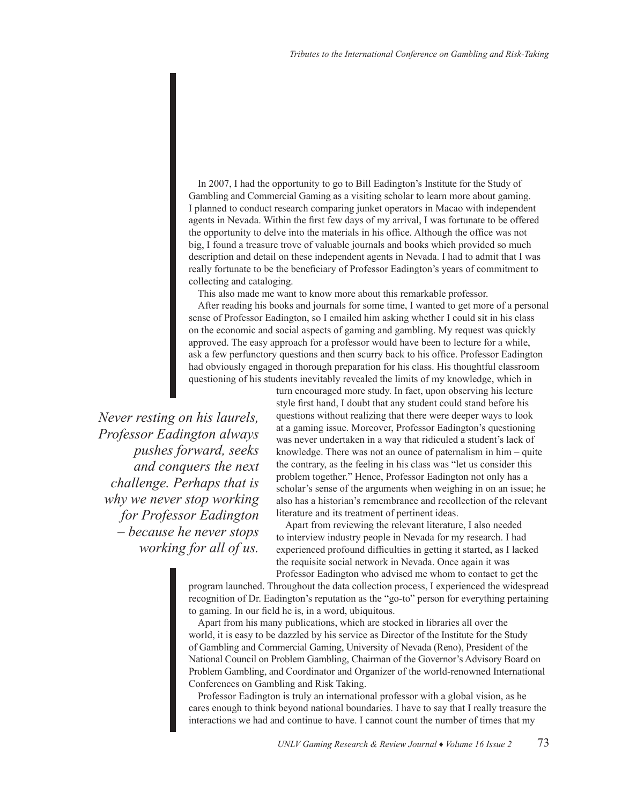In 2007, I had the opportunity to go to Bill Eadington's Institute for the Study of Gambling and Commercial Gaming as a visiting scholar to learn more about gaming. I planned to conduct research comparing junket operators in Macao with independent agents in Nevada. Within the first few days of my arrival, I was fortunate to be offered the opportunity to delve into the materials in his office. Although the office was not big, I found a treasure trove of valuable journals and books which provided so much description and detail on these independent agents in Nevada. I had to admit that I was really fortunate to be the beneficiary of Professor Eadington's years of commitment to collecting and cataloging.

This also made me want to know more about this remarkable professor.

After reading his books and journals for some time, I wanted to get more of a personal sense of Professor Eadington, so I emailed him asking whether I could sit in his class on the economic and social aspects of gaming and gambling. My request was quickly approved. The easy approach for a professor would have been to lecture for a while, ask a few perfunctory questions and then scurry back to his office. Professor Eadington had obviously engaged in thorough preparation for his class. His thoughtful classroom questioning of his students inevitably revealed the limits of my knowledge, which in

*Never resting on his laurels, Professor Eadington always pushes forward, seeks and conquers the next challenge. Perhaps that is why we never stop working for Professor Eadington – because he never stops working for all of us.* turn encouraged more study. In fact, upon observing his lecture style first hand, I doubt that any student could stand before his questions without realizing that there were deeper ways to look at a gaming issue. Moreover, Professor Eadington's questioning was never undertaken in a way that ridiculed a student's lack of knowledge. There was not an ounce of paternalism in him – quite the contrary, as the feeling in his class was "let us consider this problem together." Hence, Professor Eadington not only has a scholar's sense of the arguments when weighing in on an issue; he also has a historian's remembrance and recollection of the relevant literature and its treatment of pertinent ideas.

Apart from reviewing the relevant literature, I also needed to interview industry people in Nevada for my research. I had experienced profound difficulties in getting it started, as I lacked the requisite social network in Nevada. Once again it was Professor Eadington who advised me whom to contact to get the

program launched. Throughout the data collection process, I experienced the widespread recognition of Dr. Eadington's reputation as the "go-to" person for everything pertaining to gaming. In our field he is, in a word, ubiquitous.

Apart from his many publications, which are stocked in libraries all over the world, it is easy to be dazzled by his service as Director of the Institute for the Study of Gambling and Commercial Gaming, University of Nevada (Reno), President of the National Council on Problem Gambling, Chairman of the Governor's Advisory Board on Problem Gambling, and Coordinator and Organizer of the world-renowned International Conferences on Gambling and Risk Taking.

Professor Eadington is truly an international professor with a global vision, as he cares enough to think beyond national boundaries. I have to say that I really treasure the interactions we had and continue to have. I cannot count the number of times that my